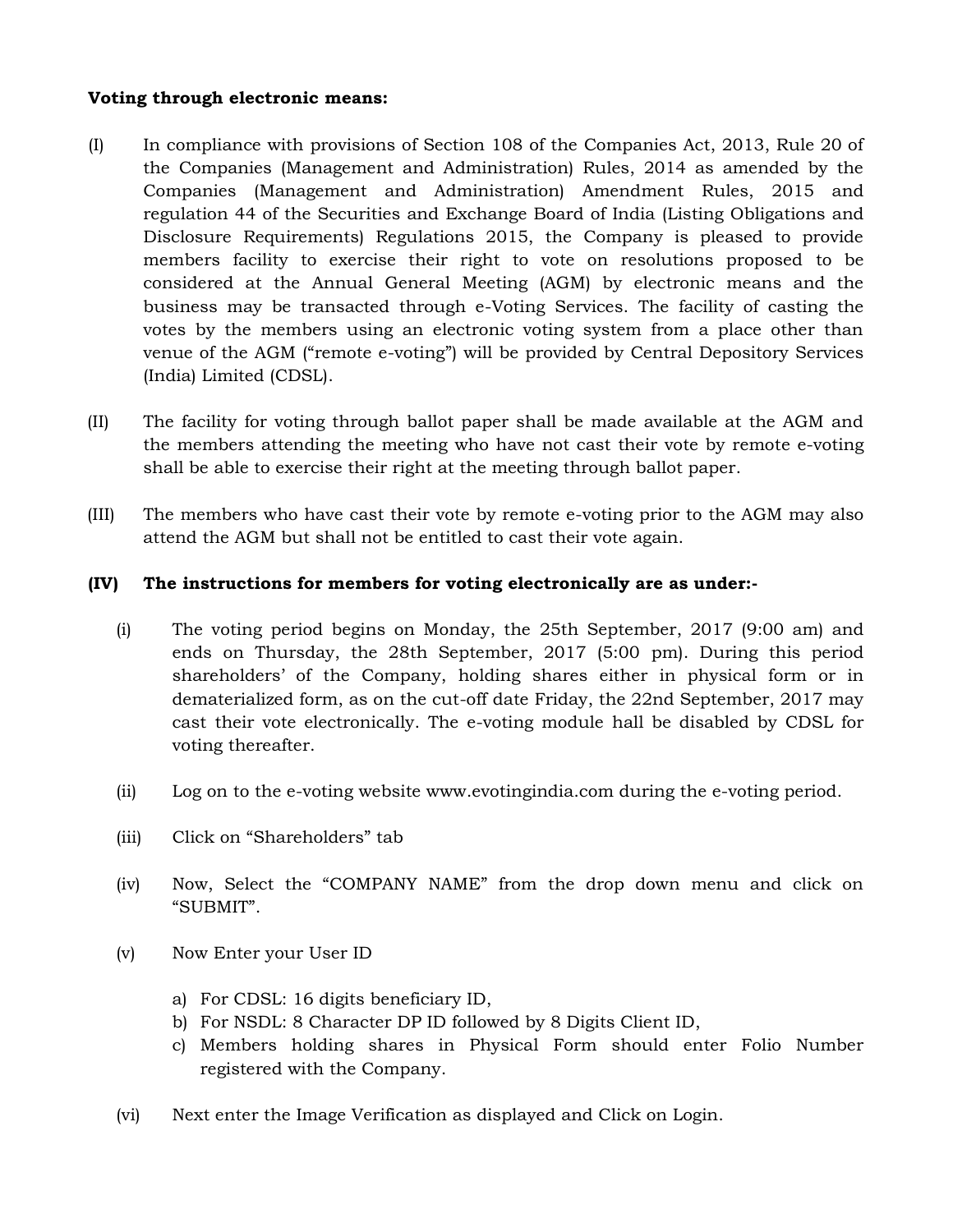## **Voting through electronic means:**

- (I) In compliance with provisions of Section 108 of the Companies Act, 2013, Rule 20 of the Companies (Management and Administration) Rules, 2014 as amended by the Companies (Management and Administration) Amendment Rules, 2015 and regulation 44 of the Securities and Exchange Board of India (Listing Obligations and Disclosure Requirements) Regulations 2015, the Company is pleased to provide members facility to exercise their right to vote on resolutions proposed to be considered at the Annual General Meeting (AGM) by electronic means and the business may be transacted through e-Voting Services. The facility of casting the votes by the members using an electronic voting system from a place other than venue of the AGM ("remote e-voting") will be provided by Central Depository Services (India) Limited (CDSL).
- (II) The facility for voting through ballot paper shall be made available at the AGM and the members attending the meeting who have not cast their vote by remote e-voting shall be able to exercise their right at the meeting through ballot paper.
- (III) The members who have cast their vote by remote e-voting prior to the AGM may also attend the AGM but shall not be entitled to cast their vote again.

## **(IV) The instructions for members for voting electronically are as under:-**

- (i) The voting period begins on Monday, the 25th September, 2017 (9:00 am) and ends on Thursday, the 28th September, 2017 (5:00 pm). During this period shareholders' of the Company, holding shares either in physical form or in dematerialized form, as on the cut-off date Friday, the 22nd September, 2017 may cast their vote electronically. The e-voting module hall be disabled by CDSL for voting thereafter.
- (ii) Log on to the e-voting website www.evotingindia.com during the e-voting period.
- (iii) Click on "Shareholders" tab
- (iv) Now, Select the "COMPANY NAME" from the drop down menu and click on "SUBMIT".
- (v) Now Enter your User ID
	- a) For CDSL: 16 digits beneficiary ID,
	- b) For NSDL: 8 Character DP ID followed by 8 Digits Client ID,
	- c) Members holding shares in Physical Form should enter Folio Number registered with the Company.
- (vi) Next enter the Image Verification as displayed and Click on Login.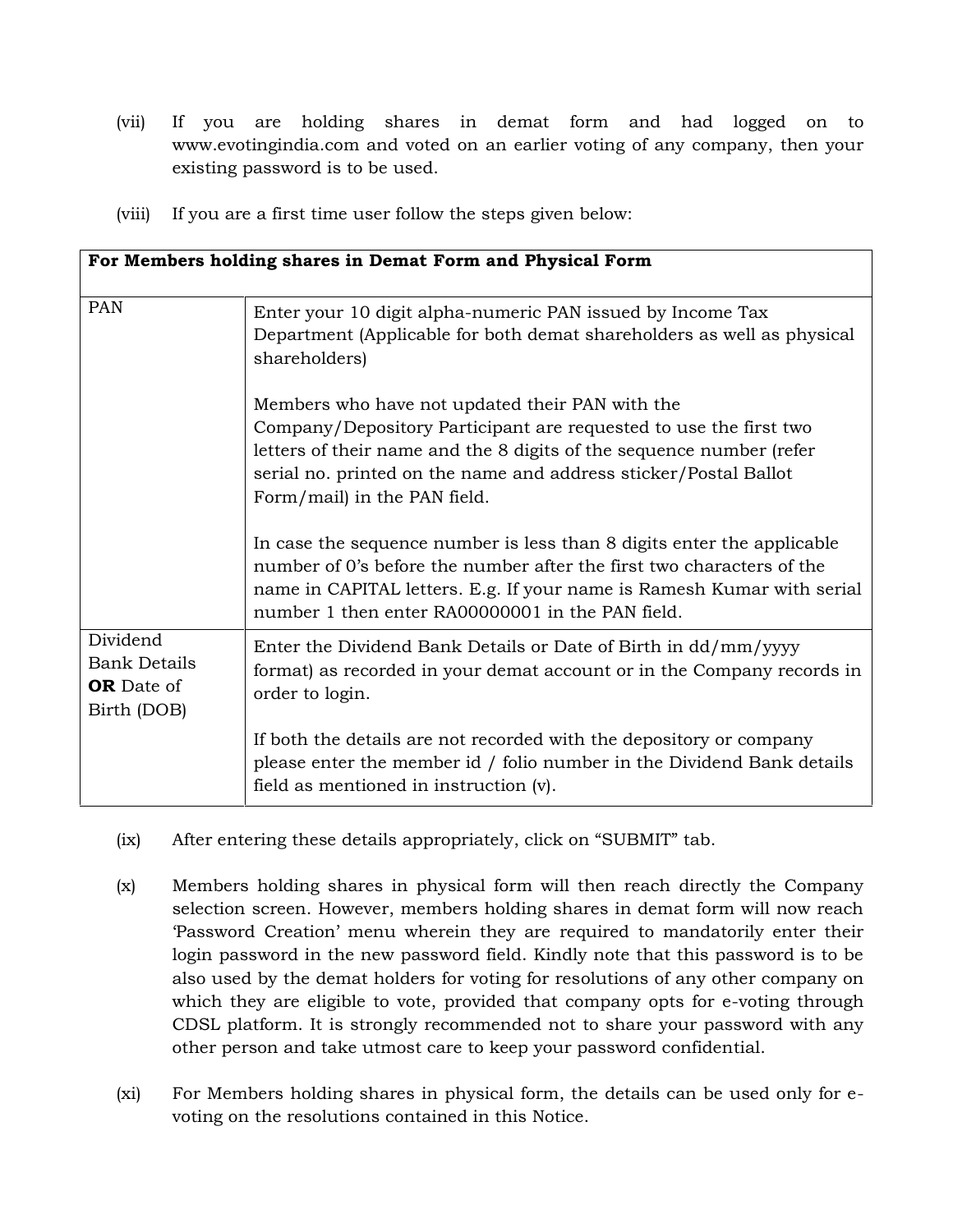- (vii) If you are holding shares in demat form and had logged on to www.evotingindia.com and voted on an earlier voting of any company, then your existing password is to be used.
- (viii) If you are a first time user follow the steps given below:

| For Members holding shares in Demat Form and Physical Form          |                                                                                                                                                                                                                                                                                                  |
|---------------------------------------------------------------------|--------------------------------------------------------------------------------------------------------------------------------------------------------------------------------------------------------------------------------------------------------------------------------------------------|
| PAN                                                                 | Enter your 10 digit alpha-numeric PAN issued by Income Tax<br>Department (Applicable for both demat shareholders as well as physical<br>shareholders)                                                                                                                                            |
|                                                                     | Members who have not updated their PAN with the<br>Company/Depository Participant are requested to use the first two<br>letters of their name and the 8 digits of the sequence number (refer<br>serial no. printed on the name and address sticker/Postal Ballot<br>Form/mail) in the PAN field. |
|                                                                     | In case the sequence number is less than 8 digits enter the applicable<br>number of 0's before the number after the first two characters of the<br>name in CAPITAL letters. E.g. If your name is Ramesh Kumar with serial<br>number 1 then enter RA00000001 in the PAN field.                    |
| Dividend<br><b>Bank Details</b><br><b>OR</b> Date of<br>Birth (DOB) | Enter the Dividend Bank Details or Date of Birth in dd/mm/yyyy<br>format) as recorded in your demat account or in the Company records in<br>order to login.                                                                                                                                      |
|                                                                     | If both the details are not recorded with the depository or company<br>please enter the member id / folio number in the Dividend Bank details<br>field as mentioned in instruction (v).                                                                                                          |

- (ix) After entering these details appropriately, click on "SUBMIT" tab.
- (x) Members holding shares in physical form will then reach directly the Company selection screen. However, members holding shares in demat form will now reach 'Password Creation' menu wherein they are required to mandatorily enter their login password in the new password field. Kindly note that this password is to be also used by the demat holders for voting for resolutions of any other company on which they are eligible to vote, provided that company opts for e-voting through CDSL platform. It is strongly recommended not to share your password with any other person and take utmost care to keep your password confidential.
- (xi) For Members holding shares in physical form, the details can be used only for e voting on the resolutions contained in this Notice.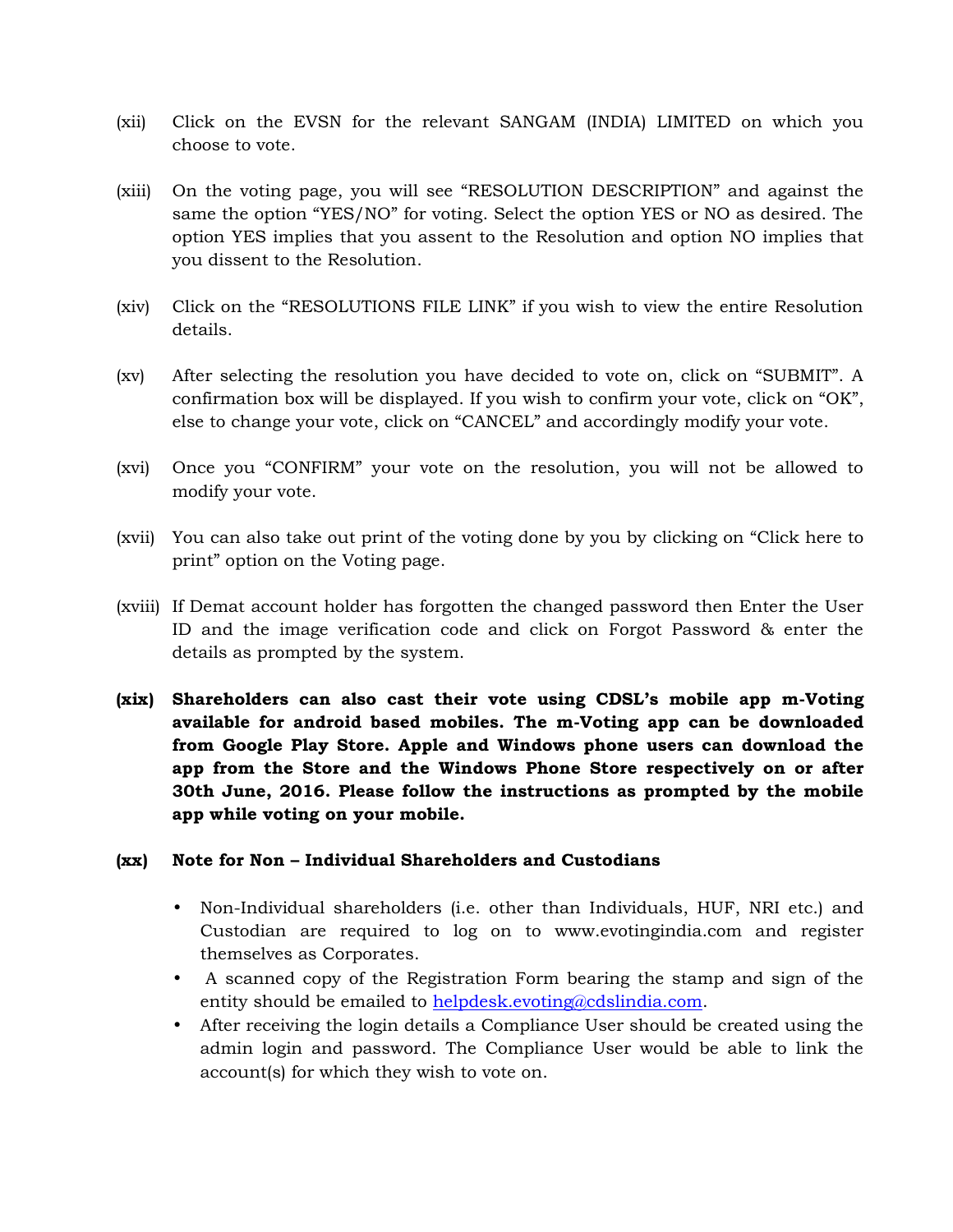- (xii) Click on the EVSN for the relevant SANGAM (INDIA) LIMITED on which you choose to vote.
- (xiii) On the voting page, you will see "RESOLUTION DESCRIPTION" and against the same the option "YES/NO" for voting. Select the option YES or NO as desired. The option YES implies that you assent to the Resolution and option NO implies that you dissent to the Resolution.
- (xiv) Click on the "RESOLUTIONS FILE LINK" if you wish to view the entire Resolution details.
- (xv) After selecting the resolution you have decided to vote on, click on "SUBMIT". A confirmation box will be displayed. If you wish to confirm your vote, click on "OK", else to change your vote, click on "CANCEL" and accordingly modify your vote.
- (xvi) Once you "CONFIRM" your vote on the resolution, you will not be allowed to modify your vote.
- (xvii) You can also take out print of the voting done by you by clicking on "Click here to print" option on the Voting page.
- (xviii) If Demat account holder has forgotten the changed password then Enter the User ID and the image verification code and click on Forgot Password & enter the details as prompted by the system.
- **(xix) Shareholders can also cast their vote using CDSL's mobile app m-Voting available for android based mobiles. The m-Voting app can be downloaded from Google Play Store. Apple and Windows phone users can download the app from the Store and the Windows Phone Store respectively on or after 30th June, 2016. Please follow the instructions as prompted by the mobile app while voting on your mobile.**

## **(xx) Note for Non – Individual Shareholders and Custodians**

- Non-Individual shareholders (i.e. other than Individuals, HUF, NRI etc.) and Custodian are required to log on to www.evotingindia.com and register themselves as Corporates.
- A scanned copy of the Registration Form bearing the stamp and sign of the entity should be emailed to helpdesk.evoting@cdslindia.com.
- After receiving the login details a Compliance User should be created using the admin login and password. The Compliance User would be able to link the account(s) for which they wish to vote on.